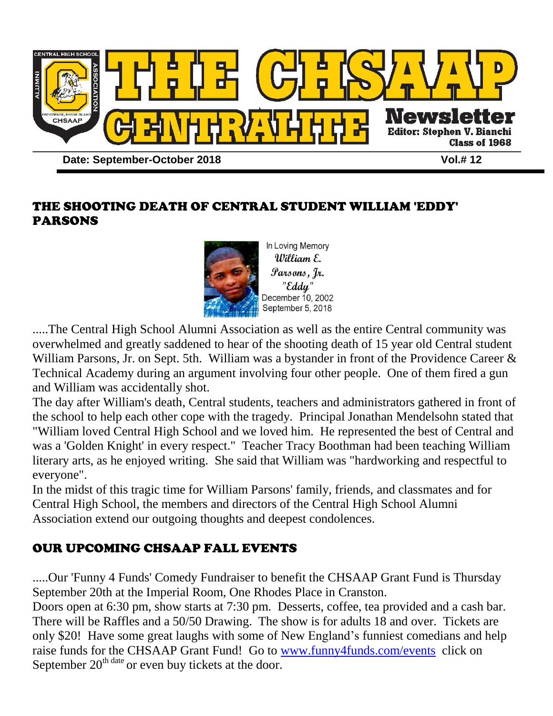

## THE SHOOTING DEATH OF CENTRAL STUDENT WILLIAM 'EDDY' PARSONS



.....The Central High School Alumni Association as well as the entire Central community was overwhelmed and greatly saddened to hear of the shooting death of 15 year old Central student William Parsons, Jr. on Sept. 5th. William was a bystander in front of the Providence Career & Technical Academy during an argument involving four other people. One of them fired a gun and William was accidentally shot.

The day after William's death, Central students, teachers and administrators gathered in front of the school to help each other cope with the tragedy. Principal Jonathan Mendelsohn stated that "William loved Central High School and we loved him. He represented the best of Central and was a 'Golden Knight' in every respect." Teacher Tracy Boothman had been teaching William literary arts, as he enjoyed writing. She said that William was "hardworking and respectful to everyone".

In the midst of this tragic time for William Parsons' family, friends, and classmates and for Central High School, the members and directors of the Central High School Alumni Association extend our outgoing thoughts and deepest condolences.

# OUR UPCOMING CHSAAP FALL EVENTS

.....Our 'Funny 4 Funds' Comedy Fundraiser to benefit the CHSAAP Grant Fund is Thursday September 20th at the Imperial Room, One Rhodes Place in Cranston.

Doors open at 6:30 pm, show starts at 7:30 pm. Desserts, coffee, tea provided and a cash bar. There will be Raffles and a 50/50 Drawing. The show is for adults 18 and over. Tickets are only \$20! Have some great laughs with some of New England's funniest comedians and help raise funds for the CHSAAP Grant Fund! Go to [www.funny4funds.com/events](http://www.funny4funds.com/events) click on September  $20^{th \text{ date}}$  or even buy tickets at the door.